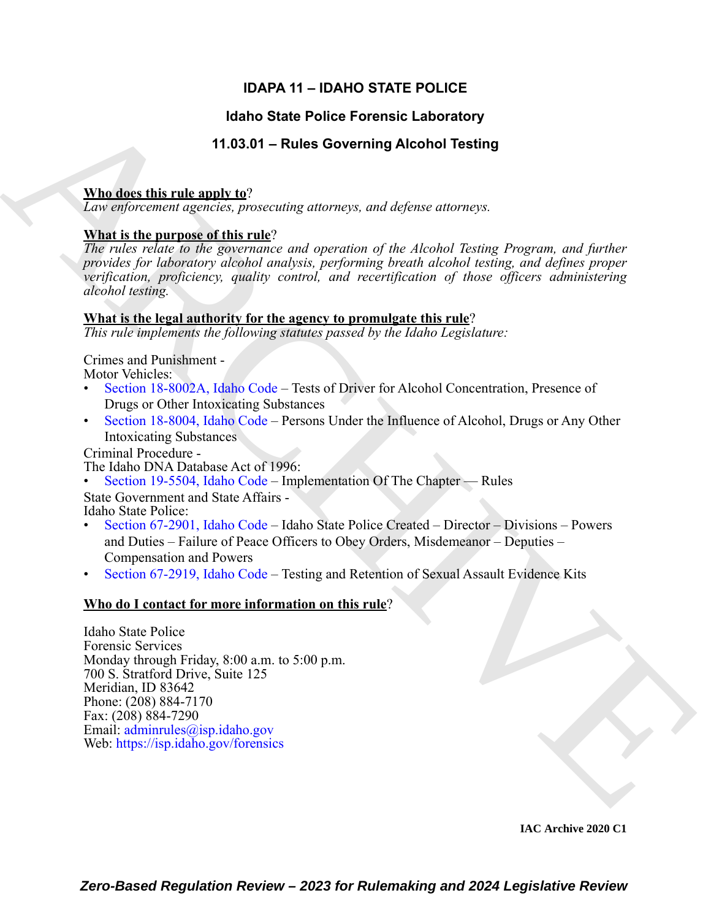### **IDAPA 11 – IDAHO STATE POLICE**

#### **Idaho State Police Forensic Laboratory**

#### **11.03.01 – Rules Governing Alcohol Testing**

#### **Who does this rule apply to**?

*Law enforcement agencies, prosecuting attorneys, and defense attorneys.*

#### **What is the purpose of this rule**?

*The rules relate to the governance and operation of the Alcohol Testing Program, and further provides for laboratory alcohol analysis, performing breath alcohol testing, and defines proper verification, proficiency, quality control, and recertification of those officers administering alcohol testing.*

#### **What is the legal authority for the agency to promulgate this rule**?

*This rule implements the following statutes passed by the Idaho Legislature:*

Crimes and Punishment - Motor Vehicles:

- Section 18-8002A, Idaho Code Tests of Driver for Alcohol Concentration, Presence of Drugs or Other Intoxicating Substances
- Section 18-8004, Idaho Code Persons Under the Influence of Alcohol, Drugs or Any Other Intoxicating Substances

Criminal Procedure -

The Idaho DNA Database Act of 1996:

• Section 19-5504, Idaho Code – Implementation Of The Chapter — Rules

State Government and State Affairs - Idaho State Police:

- Section 67-2901, Idaho Code Idaho State Police Created Director Divisions Powers and Duties – Failure of Peace Officers to Obey Orders, Misdemeanor – Deputies – Compensation and Powers
- Section 67-2919, Idaho Code Testing and Retention of Sexual Assault Evidence Kits

#### **Who do I contact for more information on this rule**?

Hanno State Police Forentic Laboratory<br>
The disectivity of the Soverning Alcohol Testing<br>
The disectivity and  $\frac{1}{2}$  and  $\frac{1}{2}$  and  $\frac{1}{2}$  and  $\frac{1}{2}$  and  $\frac{1}{2}$  and  $\frac{1}{2}$  and  $\frac{1}{2}$  and  $\frac{1}{2}$  and Idaho State Police Forensic Services Monday through Friday, 8:00 a.m. to 5:00 p.m. 700 S. Stratford Drive, Suite 125 Meridian, ID 83642 Phone: (208) 884-7170 Fax: (208) 884-7290 Email: adminrules@isp.idaho.gov Web: https://isp.idaho.gov/forensics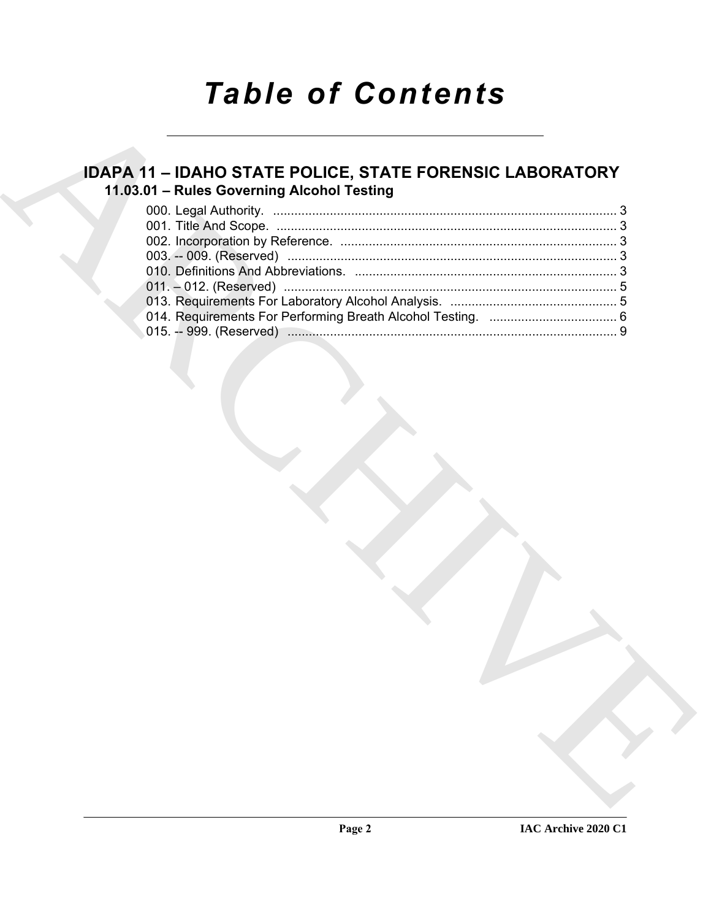# *Table of Contents*

## **IDAPA 11 – IDAHO STATE POLICE, STATE FORENSIC LABORATORY 11.03.01 – Rules Governing Alcohol Testing**

|  | 11.03.01 - Rules Governing Alcohol Testing |  |  |
|--|--------------------------------------------|--|--|
|  |                                            |  |  |
|  |                                            |  |  |
|  |                                            |  |  |
|  |                                            |  |  |
|  |                                            |  |  |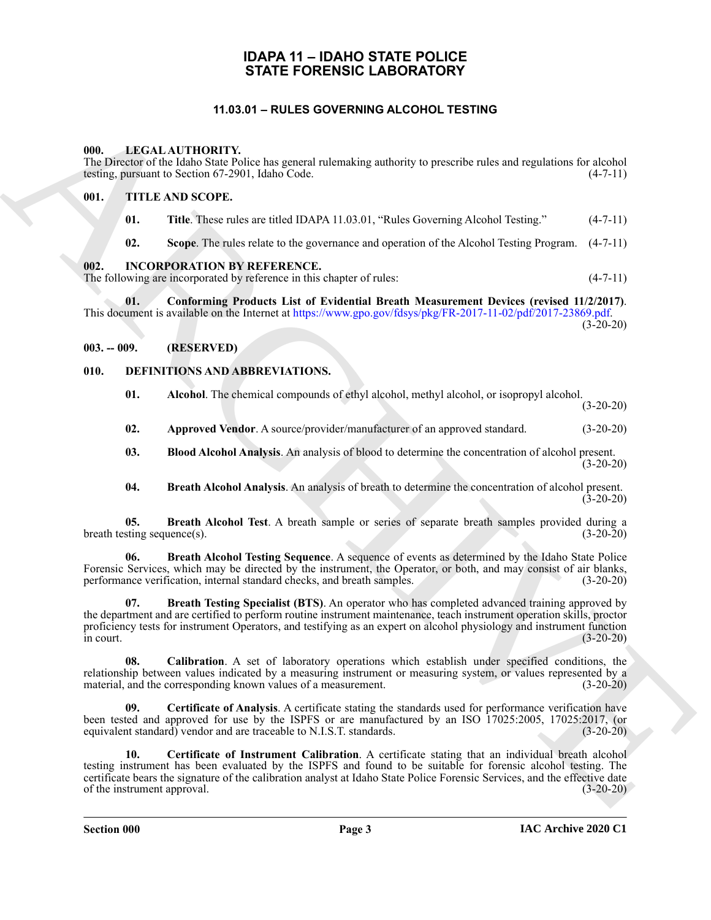#### **IDAPA 11 – IDAHO STATE POLICE STATE FORENSIC LABORATORY**

#### **11.03.01 – RULES GOVERNING ALCOHOL TESTING**

#### <span id="page-2-19"></span><span id="page-2-2"></span><span id="page-2-1"></span><span id="page-2-0"></span>**000. LEGAL AUTHORITY.**

#### <span id="page-2-3"></span>**001. TITLE AND SCOPE.**

- <span id="page-2-20"></span>**01.** Title. These rules are titled IDAPA 11.03.01, "Rules Governing Alcohol Testing." (4-7-11)
- <span id="page-2-18"></span>**02. Scope**. The rules relate to the governance and operation of the Alcohol Testing Program. (4-7-11)

#### <span id="page-2-4"></span>**002. INCORPORATION BY REFERENCE.**

#### <span id="page-2-5"></span>**003. -- 009. (RESERVED)**

#### <span id="page-2-14"></span><span id="page-2-13"></span><span id="page-2-12"></span><span id="page-2-11"></span><span id="page-2-10"></span><span id="page-2-9"></span><span id="page-2-8"></span><span id="page-2-7"></span><span id="page-2-6"></span>**010. DEFINITIONS AND ABBREVIATIONS.**

| 11.03.01 - RULES GOVERNING ALCOHOL TESTING |               |                                    |                                                                                                                                                                                                                                                                                                                                                 |             |  |  |  |  |
|--------------------------------------------|---------------|------------------------------------|-------------------------------------------------------------------------------------------------------------------------------------------------------------------------------------------------------------------------------------------------------------------------------------------------------------------------------------------------|-------------|--|--|--|--|
|                                            | 000.          |                                    | LEGAL AUTHORITY.<br>The Director of the Idaho State Police has general rulemaking authority to prescribe rules and regulations for alcohol<br>testing, pursuant to Section 67-2901, Idaho Code.                                                                                                                                                 | $(4-7-11)$  |  |  |  |  |
|                                            | 001.          |                                    | TITLE AND SCOPE.                                                                                                                                                                                                                                                                                                                                |             |  |  |  |  |
|                                            |               | 01.                                | Title. These rules are titled IDAPA 11.03.01, "Rules Governing Alcohol Testing."                                                                                                                                                                                                                                                                | $(4-7-11)$  |  |  |  |  |
|                                            |               | 02.                                | Scope. The rules relate to the governance and operation of the Alcohol Testing Program.                                                                                                                                                                                                                                                         | $(4-7-11)$  |  |  |  |  |
|                                            | 002.          |                                    | <b>INCORPORATION BY REFERENCE.</b><br>The following are incorporated by reference in this chapter of rules:                                                                                                                                                                                                                                     | $(4-7-11)$  |  |  |  |  |
|                                            |               | 01.                                | Conforming Products List of Evidential Breath Measurement Devices (revised 11/2/2017).<br>This document is available on the Internet at https://www.gpo.gov/fdsys/pkg/FR-2017-11-02/pdf/2017-23869.pdf.                                                                                                                                         | $(3-20-20)$ |  |  |  |  |
|                                            | $003. - 009.$ |                                    | (RESERVED)                                                                                                                                                                                                                                                                                                                                      |             |  |  |  |  |
|                                            | 010.          |                                    | DEFINITIONS AND ABBREVIATIONS.                                                                                                                                                                                                                                                                                                                  |             |  |  |  |  |
|                                            |               | 01.                                | Alcohol. The chemical compounds of ethyl alcohol, methyl alcohol, or isopropyl alcohol.                                                                                                                                                                                                                                                         | $(3-20-20)$ |  |  |  |  |
|                                            |               | 02.                                | Approved Vendor. A source/provider/manufacturer of an approved standard.                                                                                                                                                                                                                                                                        | $(3-20-20)$ |  |  |  |  |
|                                            |               | 03.                                | Blood Alcohol Analysis. An analysis of blood to determine the concentration of alcohol present.                                                                                                                                                                                                                                                 | $(3-20-20)$ |  |  |  |  |
|                                            |               | 04.                                | Breath Alcohol Analysis. An analysis of breath to determine the concentration of alcohol present.                                                                                                                                                                                                                                               | $(3-20-20)$ |  |  |  |  |
|                                            |               | 05.<br>breath testing sequence(s). | Breath Alcohol Test. A breath sample or series of separate breath samples provided during a                                                                                                                                                                                                                                                     | $(3-20-20)$ |  |  |  |  |
|                                            |               | 06.                                | Breath Alcohol Testing Sequence. A sequence of events as determined by the Idaho State Police<br>Forensic Services, which may be directed by the instrument, the Operator, or both, and may consist of air blanks,<br>performance verification, internal standard checks, and breath samples.                                                   | $(3-20-20)$ |  |  |  |  |
|                                            | in court.     | 07.                                | Breath Testing Specialist (BTS). An operator who has completed advanced training approved by<br>the department and are certified to perform routine instrument maintenance, teach instrument operation skills, proctor<br>proficiency tests for instrument Operators, and testifying as an expert on alcohol physiology and instrument function | $(3-20-20)$ |  |  |  |  |
|                                            |               | 08.                                | Calibration. A set of laboratory operations which establish under specified conditions, the<br>relationship between values indicated by a measuring instrument or measuring system, or values represented by a<br>material, and the corresponding known values of a measurement.                                                                | $(3-20-20)$ |  |  |  |  |
|                                            |               | 09.                                | Certificate of Analysis. A certificate stating the standards used for performance verification have<br>been tested and approved for use by the ISPFS or are manufactured by an ISO 17025:2005, 17025:2017, (or<br>equivalent standard) vendor and are traceable to N.I.S.T. standards.                                                          | $(3-20-20)$ |  |  |  |  |
|                                            |               | 10.<br>of the instrument approval. | Certificate of Instrument Calibration. A certificate stating that an individual breath alcohol<br>testing instrument has been evaluated by the ISPFS and found to be suitable for forensic alcohol testing. The<br>certificate bears the signature of the calibration analyst at Idaho State Police Forensic Services, and the effective date   | $(3-20-20)$ |  |  |  |  |
|                                            |               |                                    |                                                                                                                                                                                                                                                                                                                                                 |             |  |  |  |  |

<span id="page-2-17"></span><span id="page-2-16"></span><span id="page-2-15"></span>**Section 000 Page 3**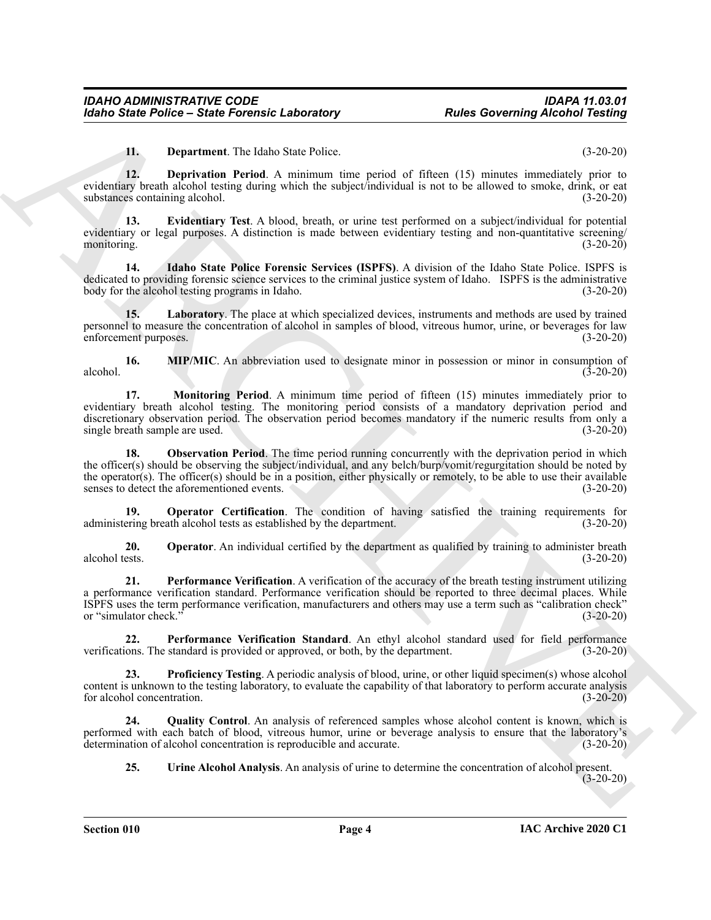<span id="page-3-2"></span><span id="page-3-1"></span><span id="page-3-0"></span>**11. Department**. The Idaho State Police. (3-20-20)

**12. Deprivation Period**. A minimum time period of fifteen (15) minutes immediately prior to evidentiary breath alcohol testing during which the subject/individual is not to be allowed to smoke, drink, or eat substances containing alcohol. (3-20-20)

**13. Evidentiary Test**. A blood, breath, or urine test performed on a subject/individual for potential evidentiary or legal purposes. A distinction is made between evidentiary testing and non-quantitative screening/ monitoring.  $(3-20-20)$ 

<span id="page-3-3"></span>**14. Idaho State Police Forensic Services (ISPFS)**. A division of the Idaho State Police. ISPFS is dedicated to providing forensic science services to the criminal justice system of Idaho. ISPFS is the administrative body for the alcohol testing programs in Idaho. (3-20-20)

<span id="page-3-4"></span>**15. Laboratory**. The place at which specialized devices, instruments and methods are used by trained personnel to measure the concentration of alcohol in samples of blood, vitreous humor, urine, or beverages for law enforcement purposes. (3-20-20)

<span id="page-3-6"></span><span id="page-3-5"></span>**16. MIP/MIC**. An abbreviation used to designate minor in possession or minor in consumption of  $a$ lcohol.  $(3-20-20)$ 

**Each State Folice - State Forentie, Laboratory Routes Governing Alcohal Teams<br>
12. Depertusion Priori March State Core is the state of the control of the state of the state of the state of the state of the state of the 17. Monitoring Period**. A minimum time period of fifteen (15) minutes immediately prior to evidentiary breath alcohol testing. The monitoring period consists of a mandatory deprivation period and discretionary observation period. The observation period becomes mandatory if the numeric results from only a single breath sample are used. (3-20-20)

<span id="page-3-7"></span>**18. Observation Period**. The time period running concurrently with the deprivation period in which the officer(s) should be observing the subject/individual, and any belch/burp/vomit/regurgitation should be noted by the operator(s). The officer(s) should be in a position, either physically or remotely, to be able to use their available senses to detect the aforementioned events. (3-20-20) senses to detect the aforementioned events.

<span id="page-3-9"></span>**19. Operator Certification**. The condition of having satisfied the training requirements for administering breath alcohol tests as established by the department. (3-20-20)

<span id="page-3-8"></span>**20.** Operator. An individual certified by the department as qualified by training to administer breath alcohol tests. (3-20-20) alcohol tests. (3-20-20)

<span id="page-3-10"></span>**21. Performance Verification**. A verification of the accuracy of the breath testing instrument utilizing a performance verification standard. Performance verification should be reported to three decimal places. While ISPFS uses the term performance verification, manufacturers and others may use a term such as "calibration check" or "simulator check." (3-20-20)

<span id="page-3-11"></span>**22. Performance Verification Standard**. An ethyl alcohol standard used for field performance verifications. The standard is provided or approved, or both, by the department. (3-20-20)

<span id="page-3-12"></span>**23. Proficiency Testing**. A periodic analysis of blood, urine, or other liquid specimen(s) whose alcohol content is unknown to the testing laboratory, to evaluate the capability of that laboratory to perform accurate analysis for alcohol concentration. (3-20-20)

**24. Quality Control**. An analysis of referenced samples whose alcohol content is known, which is performed with each batch of blood, vitreous humor, urine or beverage analysis to ensure that the laboratory's determination of alcohol concentration is reproducible and accurate. (3-20-20)

<span id="page-3-14"></span><span id="page-3-13"></span>**25. Urine Alcohol Analysis**. An analysis of urine to determine the concentration of alcohol present. (3-20-20)

**Section 010 Page 4**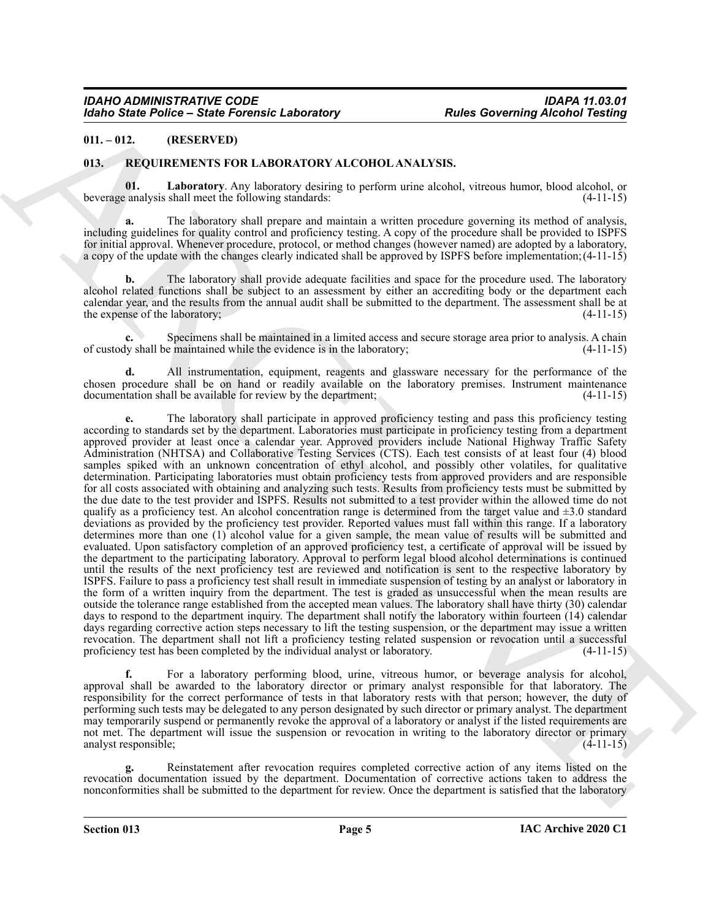#### <span id="page-4-0"></span>**011. – 012. (RESERVED)**

#### <span id="page-4-2"></span><span id="page-4-1"></span>**013. REQUIREMENTS FOR LABORATORY ALCOHOL ANALYSIS.**

<span id="page-4-3"></span>**01. Laboratory**. Any laboratory desiring to perform urine alcohol, vitreous humor, blood alcohol, or beverage analysis shall meet the following standards: (4-11-15)

**a.** The laboratory shall prepare and maintain a written procedure governing its method of analysis, including guidelines for quality control and proficiency testing. A copy of the procedure shall be provided to ISPFS for initial approval. Whenever procedure, protocol, or method changes (however named) are adopted by a laboratory, a copy of the update with the changes clearly indicated shall be approved by ISPFS before implementation;(4-11-15)

**b.** The laboratory shall provide adequate facilities and space for the procedure used. The laboratory alcohol related functions shall be subject to an assessment by either an accrediting body or the department each calendar year, and the results from the annual audit shall be submitted to the department. The assessment shall be at the expense of the laboratory; (4-11-15)

**c.** Specimens shall be maintained in a limited access and secure storage area prior to analysis. A chain of custody shall be maintained while the evidence is in the laboratory; (4-11-15)

**d.** All instrumentation, equipment, reagents and glassware necessary for the performance of the chosen procedure shall be on hand or readily available on the laboratory premises. Instrument maintenance documentation shall be available for review by the department; (4-11-15) documentation shall be available for review by the department;

Moind State Police - State Forester, Laboratory<br>
10.1015. Since Forest State Forest European Care Theoretics Control in the Control in the Control in the Control in the Control in the Control in the Control in the Control **e.** The laboratory shall participate in approved proficiency testing and pass this proficiency testing according to standards set by the department. Laboratories must participate in proficiency testing from a department approved provider at least once a calendar year. Approved providers include National Highway Traffic Safety Administration (NHTSA) and Collaborative Testing Services (CTS). Each test consists of at least four (4) blood samples spiked with an unknown concentration of ethyl alcohol, and possibly other volatiles, for qualitative determination. Participating laboratories must obtain proficiency tests from approved providers and are responsible for all costs associated with obtaining and analyzing such tests. Results from proficiency tests must be submitted by the due date to the test provider and ISPFS. Results not submitted to a test provider within the allowed time do not qualify as a proficiency test. An alcohol concentration range is determined from the target value and  $\pm 3.0$  standard deviations as provided by the proficiency test provider. Reported values must fall within this range. If a laboratory determines more than one (1) alcohol value for a given sample, the mean value of results will be submitted and evaluated. Upon satisfactory completion of an approved proficiency test, a certificate of approval will be issued by the department to the participating laboratory. Approval to perform legal blood alcohol determinations is continued until the results of the next proficiency test are reviewed and notification is sent to the respective laboratory by ISPFS. Failure to pass a proficiency test shall result in immediate suspension of testing by an analyst or laboratory in the form of a written inquiry from the department. The test is graded as unsuccessful when the mean results are outside the tolerance range established from the accepted mean values. The laboratory shall have thirty (30) calendar days to respond to the department inquiry. The department shall notify the laboratory within fourteen (14) calendar days regarding corrective action steps necessary to lift the testing suspension, or the department may issue a written revocation. The department shall not lift a proficiency testing related suspension or revocation until a successful proficiency test has been completed by the individual analyst or laboratory. (4-11-15)

**f.** For a laboratory performing blood, urine, vitreous humor, or beverage analysis for alcohol, approval shall be awarded to the laboratory director or primary analyst responsible for that laboratory. The responsibility for the correct performance of tests in that laboratory rests with that person; however, the duty of performing such tests may be delegated to any person designated by such director or primary analyst. The department may temporarily suspend or permanently revoke the approval of a laboratory or analyst if the listed requirements are not met. The department will issue the suspension or revocation in writing to the laboratory director or primary analyst responsible; (4-11-15)

**g.** Reinstatement after revocation requires completed corrective action of any items listed on the revocation documentation issued by the department. Documentation of corrective actions taken to address the nonconformities shall be submitted to the department for review. Once the department is satisfied that the laboratory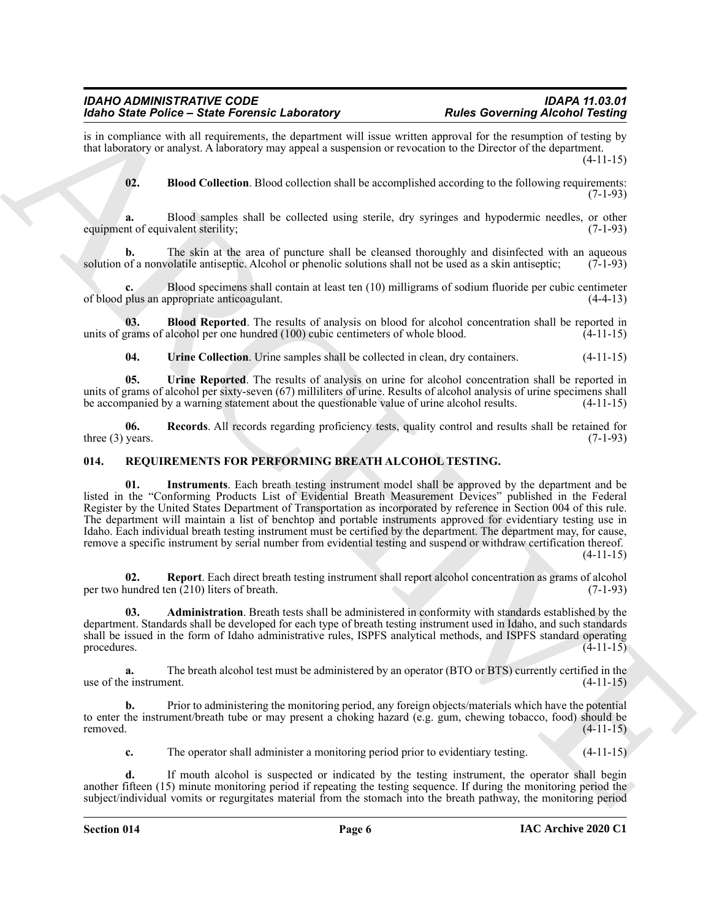is in compliance with all requirements, the department will issue written approval for the resumption of testing by that laboratory or analyst. A laboratory may appeal a suspension or revocation to the Director of the department.  $(4-11-15)$ 

<span id="page-5-1"></span>**02. Blood Collection**. Blood collection shall be accomplished according to the following requirements: (7-1-93)

**a.** Blood samples shall be collected using sterile, dry syringes and hypodermic needles, or other equipment of equivalent sterility; (7-1-93)

**b.** The skin at the area of puncture shall be cleansed thoroughly and disinfected with an aqueous of a nonvolatile antiseptic. Alcohol or phenolic solutions shall not be used as a skin antiseptic: (7-1-93) solution of a nonvolatile antiseptic. Alcohol or phenolic solutions shall not be used as a skin antiseptic;

Blood specimens shall contain at least ten (10) milligrams of sodium fluoride per cubic centimeter<br>ppropriate anticoagulant. (4-4-13) of blood plus an appropriate anticoagulant.

**03. Blood Reported**. The results of analysis on blood for alcohol concentration shall be reported in units of grams of alcohol per one hundred  $(100)$  cubic centimeters of whole blood.  $(4-11-15)$ 

<span id="page-5-5"></span><span id="page-5-4"></span><span id="page-5-3"></span><span id="page-5-2"></span>**04.** Urine Collection. Urine samples shall be collected in clean, dry containers.  $(4-11-15)$ 

**05. Urine Reported**. The results of analysis on urine for alcohol concentration shall be reported in units of grams of alcohol per sixty-seven (67) milliliters of urine. Results of alcohol analysis of urine specimens shall be accompanied by a warning statement about the questionable value of urine alcohol results. (4-11-15)

**06. Records**. All records regarding proficiency tests, quality control and results shall be retained for three  $(3)$  years.  $(7-1-93)$ 

#### <span id="page-5-8"></span><span id="page-5-6"></span><span id="page-5-0"></span>**014. REQUIREMENTS FOR PERFORMING BREATH ALCOHOL TESTING.**

Moin Sinke Poince - Sinke Fouriers the Adventure of the Moin Sinker Poince Concerning Action 2012<br>
The Research Sinker Concerning to the state of the state of the state of the state of the state of the state of the state **01. Instruments**. Each breath testing instrument model shall be approved by the department and be listed in the "Conforming Products List of Evidential Breath Measurement Devices" published in the Federal Register by the United States Department of Transportation as incorporated by reference in Section 004 of this rule. The department will maintain a list of benchtop and portable instruments approved for evidentiary testing use in Idaho. Each individual breath testing instrument must be certified by the department. The department may, for cause, remove a specific instrument by serial number from evidential testing and suspend or withdraw certification thereof. (4-11-15)

<span id="page-5-9"></span>**02. Report**. Each direct breath testing instrument shall report alcohol concentration as grams of alcohol per two hundred ten  $(210)$  liters of breath. (7-1-93)

<span id="page-5-7"></span>**03. Administration**. Breath tests shall be administered in conformity with standards established by the department. Standards shall be developed for each type of breath testing instrument used in Idaho, and such standards shall be issued in the form of Idaho administrative rules, ISPFS analytical methods, and ISPFS standard operating procedures.  $(4-11-15)$ 

**a.** The breath alcohol test must be administered by an operator (BTO or BTS) currently certified in the e instrument. (4-11-15) use of the instrument.

**b.** Prior to administering the monitoring period, any foreign objects/materials which have the potential to enter the instrument/breath tube or may present a choking hazard (e.g. gum, chewing tobacco, food) should be removed. (4-11-15)

**c.** The operator shall administer a monitoring period prior to evidentiary testing. (4-11-15)

**d.** If mouth alcohol is suspected or indicated by the testing instrument, the operator shall begin another fifteen (15) minute monitoring period if repeating the testing sequence. If during the monitoring period the subject/individual vomits or regurgitates material from the stomach into the breath pathway, the monitoring period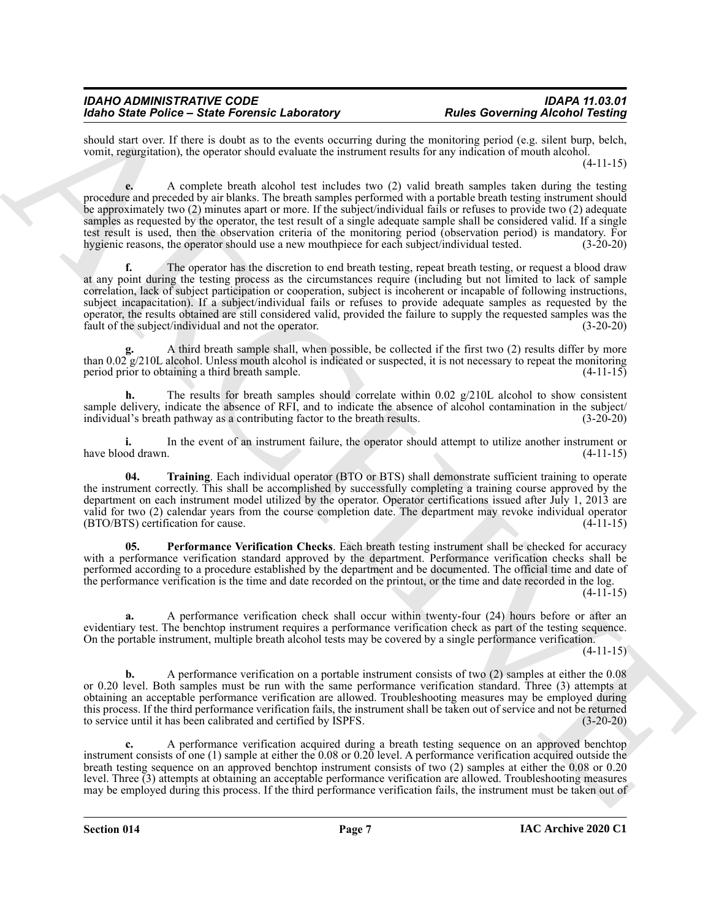should start over. If there is doubt as to the events occurring during the monitoring period (e.g. silent burp, belch, vomit, regurgitation), the operator should evaluate the instrument results for any indication of mouth alcohol.

(4-11-15)

**e.** A complete breath alcohol test includes two (2) valid breath samples taken during the testing procedure and preceded by air blanks. The breath samples performed with a portable breath testing instrument should be approximately two (2) minutes apart or more. If the subject/individual fails or refuses to provide two (2) adequate samples as requested by the operator, the test result of a single adequate sample shall be considered valid. If a single test result is used, then the observation criteria of the monitoring period (observation period) is mandatory. For hygienic reasons, the operator should use a new mouthpiece for each subject/individual tested. (3-20-20)

Mode Sink Politics - Sink Politics and Download Leading China Reading China Reading China Reading China Reading China Reading China Reading China Reading China Reading China Reading China Reading China Reading China Readi The operator has the discretion to end breath testing, repeat breath testing, or request a blood draw at any point during the testing process as the circumstances require (including but not limited to lack of sample correlation, lack of subject participation or cooperation, subject is incoherent or incapable of following instructions, subject incapacitation). If a subject/individual fails or refuses to provide adequate samples as requested by the operator, the results obtained are still considered valid, provided the failure to supply the requested samples was the fault of the subject/individual and not the operator. (3-20-20) fault of the subject/individual and not the operator.

**g.** A third breath sample shall, when possible, be collected if the first two (2) results differ by more than  $0.02 \text{ g}/210$ L alcohol. Unless mouth alcohol is indicated or suspected, it is not necessary to repeat the monitoring period prior to obtaining a third breath sample. (4-11-15)

**h.** The results for breath samples should correlate within 0.02 g/210L alcohol to show consistent sample delivery, indicate the absence of RFI, and to indicate the absence of alcohol contamination in the subject/ individual's breath pathway as a contributing factor to the breath results. (3-20-20)

**i.** In the event of an instrument failure, the operator should attempt to utilize another instrument or have blood drawn. (4-11-15)

<span id="page-6-1"></span>**04. Training**. Each individual operator (BTO or BTS) shall demonstrate sufficient training to operate the instrument correctly. This shall be accomplished by successfully completing a training course approved by the department on each instrument model utilized by the operator. Operator certifications issued after July 1, 2013 are valid for two (2) calendar years from the course completion date. The department may revoke individual operator (BTO/BTS) certification for cause. (4-11-15)

<span id="page-6-0"></span>**05. Performance Verification Checks**. Each breath testing instrument shall be checked for accuracy with a performance verification standard approved by the department. Performance verification checks shall be performed according to a procedure established by the department and be documented. The official time and date of the performance verification is the time and date recorded on the printout, or the time and date recorded in the log.  $(4-11-15)$ 

**a.** A performance verification check shall occur within twenty-four (24) hours before or after an evidentiary test. The benchtop instrument requires a performance verification check as part of the testing sequence. On the portable instrument, multiple breath alcohol tests may be covered by a single performance verification.

(4-11-15)

**b.** A performance verification on a portable instrument consists of two (2) samples at either the 0.08 or 0.20 level. Both samples must be run with the same performance verification standard. Three (3) attempts at obtaining an acceptable performance verification are allowed. Troubleshooting measures may be employed during this process. If the third performance verification fails, the instrument shall be taken out of service and not be returned to service until it has been calibrated and certified by ISPFS. (3-20-20)

**c.** A performance verification acquired during a breath testing sequence on an approved benchtop instrument consists of one (1) sample at either the 0.08 or 0.20 level. A performance verification acquired outside the breath testing sequence on an approved benchtop instrument consists of two (2) samples at either the 0.08 or 0.20 level. Three (3) attempts at obtaining an acceptable performance verification are allowed. Troubleshooting measures may be employed during this process. If the third performance verification fails, the instrument must be taken out of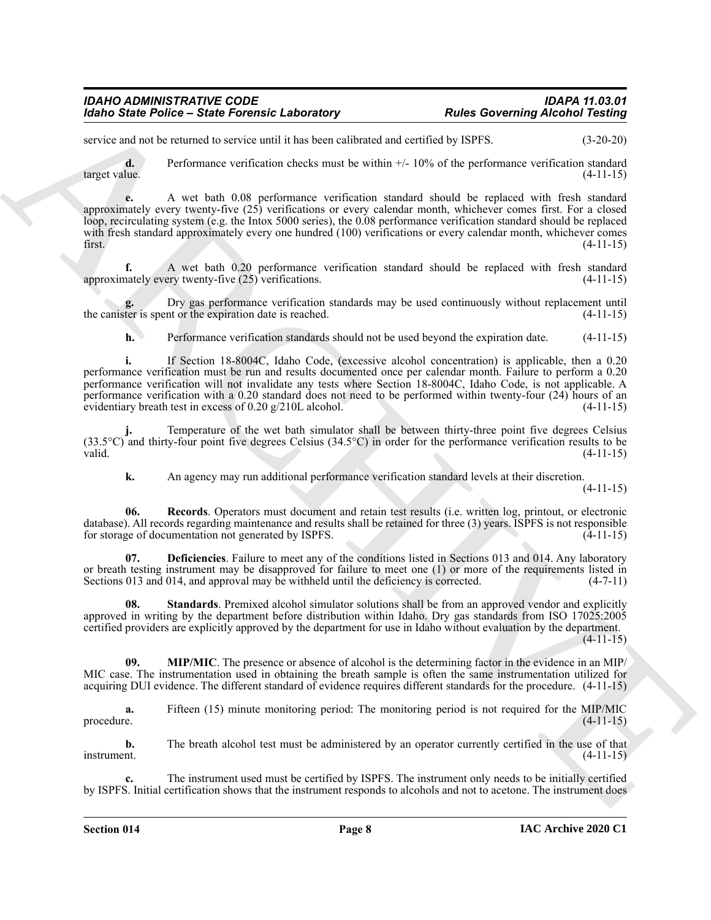service and not be returned to service until it has been calibrated and certified by ISPFS. (3-20-20)

**d.** Performance verification checks must be within  $+/- 10\%$  of the performance verification standard target value. (4-11-15) target value. (4-11-15)

**e.** A wet bath 0.08 performance verification standard should be replaced with fresh standard approximately every twenty-five (25) verifications or every calendar month, whichever comes first. For a closed loop, recirculating system (e.g. the Intox 5000 series), the 0.08 performance verification standard should be replaced with fresh standard approximately every one hundred (100) verifications or every calendar month, whichever comes first. (4-11-15)

**f.** A wet bath 0.20 performance verification standard should be replaced with fresh standard nately every twenty-five (25) verifications. (4-11-15) approximately every twenty-five  $(25)$  verifications.

**g.** Dry gas performance verification standards may be used continuously without replacement until the canister is spent or the expiration date is reached. (4-11-15)

**h.** Performance verification standards should not be used beyond the expiration date.  $(4-11-15)$ 

Models State Police - State Forester, Laboratory<br>
and Robert of Schering Alcoha Towards and Contact the Schering Alcoha Towards and Contact the Schering Contact the Schering Contact the Schering Contact the Schering Conta **i.** If Section 18-8004C, Idaho Code, (excessive alcohol concentration) is applicable, then a 0.20 performance verification must be run and results documented once per calendar month. Failure to perform a 0.20 performance verification will not invalidate any tests where Section 18-8004C, Idaho Code, is not applicable. A performance verification with a 0.20 standard does not need to be performed within twenty-four (24) hours of an evidentiary breath test in excess of 0.20 g/210L alcohol. (4-11-15)

**j.** Temperature of the wet bath simulator shall be between thirty-three point five degrees Celsius (33.5°C) and thirty-four point five degrees Celsius (34.5°C) in order for the performance verification results to be valid. valid.  $(4-11-15)$ 

<span id="page-7-2"></span><span id="page-7-0"></span>**k.** An agency may run additional performance verification standard levels at their discretion.

(4-11-15)

**06. Records**. Operators must document and retain test results (i.e. written log, printout, or electronic database). All records regarding maintenance and results shall be retained for three (3) years. ISPFS is not responsible for storage of documentation not generated by ISPFS.

**Deficiencies**. Failure to meet any of the conditions listed in Sections 013 and 014. Any laboratory or breath testing instrument may be disapproved for failure to meet one (1) or more of the requirements listed in Sections 013 and 014, and approval may be withheld until the deficiency is corrected.  $(4-7-11)$ 

<span id="page-7-3"></span>**08.** Standards. Premixed alcohol simulator solutions shall be from an approved vendor and explicitly approved in writing by the department before distribution within Idaho. Dry gas standards from ISO 17025:2005 certified providers are explicitly approved by the department for use in Idaho without evaluation by the department.  $(4-11-15)$ 

<span id="page-7-1"></span>**09. MIP/MIC**. The presence or absence of alcohol is the determining factor in the evidence in an MIP/ MIC case. The instrumentation used in obtaining the breath sample is often the same instrumentation utilized for acquiring DUI evidence. The different standard of evidence requires different standards for the procedure. (4-11-15)

**a.** Fifteen (15) minute monitoring period: The monitoring period is not required for the MIP/MIC procedure. (4-11-15)

**b.** The breath alcohol test must be administered by an operator currently certified in the use of that instrument. (4-11-15)

**c.** The instrument used must be certified by ISPFS. The instrument only needs to be initially certified by ISPFS. Initial certification shows that the instrument responds to alcohols and not to acetone. The instrument does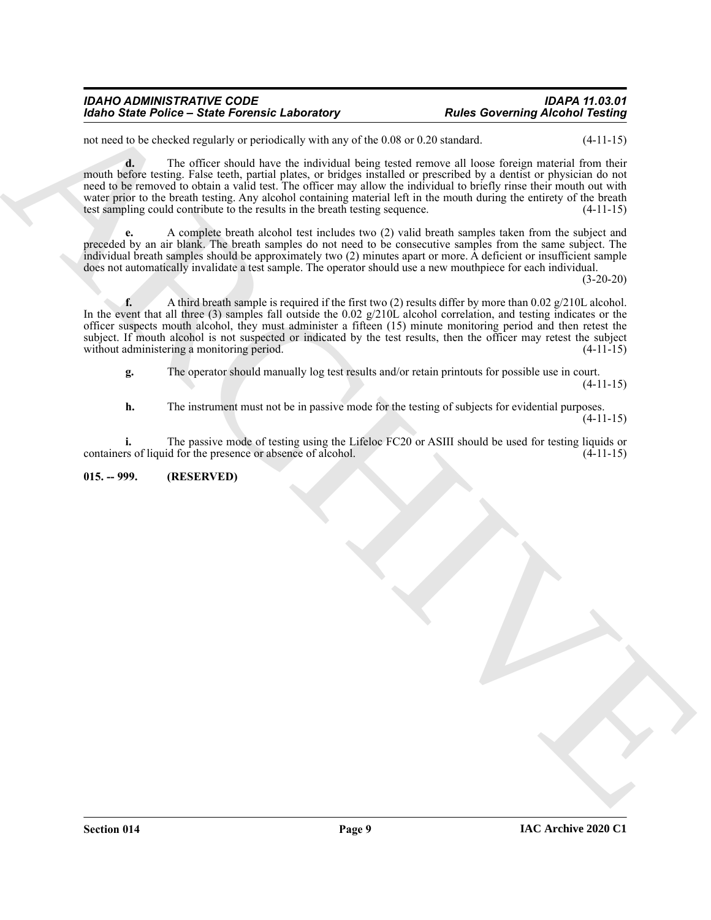not need to be checked regularly or periodically with any of the 0.08 or 0.20 standard. (4-11-15)

Moind State Police - State Forestie, Laboratory<br>
and Covering Alcohol Texting<br>
and Covering Alcohol Texting<br>
and State Covering Alcohol Texting<br>
and State Covering Alcohol Texting<br>
and State Covering Alcohol Texting<br>
and **d.** The officer should have the individual being tested remove all loose foreign material from their mouth before testing. False teeth, partial plates, or bridges installed or prescribed by a dentist or physician do not need to be removed to obtain a valid test. The officer may allow the individual to briefly rinse their mouth out with water prior to the breath testing. Any alcohol containing material left in the mouth during the entirety of the breath test sampling could contribute to the results in the breath testing sequence. (4-11-15) test sampling could contribute to the results in the breath testing sequence.

**e.** A complete breath alcohol test includes two (2) valid breath samples taken from the subject and preceded by an air blank. The breath samples do not need to be consecutive samples from the same subject. The individual breath samples should be approximately two (2) minutes apart or more. A deficient or insufficient sample does not automatically invalidate a test sample. The operator should use a new mouthpiece for each individual.

(3-20-20)

**f.** A third breath sample is required if the first two (2) results differ by more than 0.02  $g/210L$  alcohol. In the event that all three (3) samples fall outside the 0.02 g/210L alcohol correlation, and testing indicates or the officer suspects mouth alcohol, they must administer a fifteen (15) minute monitoring period and then retest the subject. If mouth alcohol is not suspected or indicated by the test results, then the officer may retest the subject without administering a monitoring period. (4-11-15)

**g.** The operator should manually log test results and/or retain printouts for possible use in court. (4-11-15)

**h.** The instrument must not be in passive mode for the testing of subjects for evidential purposes. (4-11-15)

**i.** The passive mode of testing using the Lifeloc FC20 or ASIII should be used for testing liquids or rs of liquid for the presence or absence of alcohol.  $(4-11-15)$ containers of liquid for the presence or absence of alcohol.

<span id="page-8-0"></span>**015. -- 999. (RESERVED)**